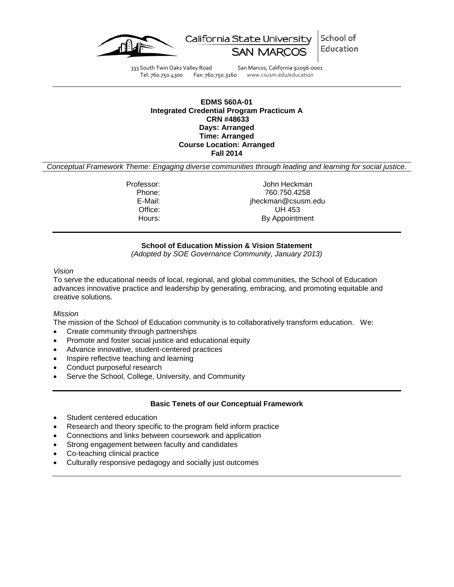



333 South Twin Oaks Valley Road San Marcos, California 92096-0001<br>Tel: 760.750.4300 Fax: 760.750.3160 www.csusm.edu/education Fax: 760.750.3160 www.csusm.edu/education

### **EDMS 560A-01 Integrated Credential Program Practicum A CRN #48633 Days: Arranged Time: Arranged Course Location: Arranged Fall 2014**

*Conceptual Framework Theme: Engaging diverse communities through leading and learning for social justice.*

Professor: John Heckman<br>Phone: 760.750.4258 Phone: 760.750.4258 E-Mail: jheckman@csusm.edu Office: UH 453<br>
Hours: By Appointm By Appointment

## **School of Education Mission & Vision Statement**

*(Adopted by SOE Governance Community, January 2013)*

#### *Vision*

To serve the educational needs of local, regional, and global communities, the School of Education advances innovative practice and leadership by generating, embracing, and promoting equitable and creative solutions.

### *Mission*

The mission of the School of Education community is to collaboratively transform education. We:

- Create community through partnerships
- Promote and foster social justice and educational equity
- Advance innovative, student-centered practices
- Inspire reflective teaching and learning
- Conduct purposeful research
- Serve the School, College, University, and Community

### **Basic Tenets of our Conceptual Framework**

- Student centered education
- Research and theory specific to the program field inform practice
- Connections and links between coursework and application
- Strong engagement between faculty and candidates
- Co-teaching clinical practice
- Culturally responsive pedagogy and socially just outcomes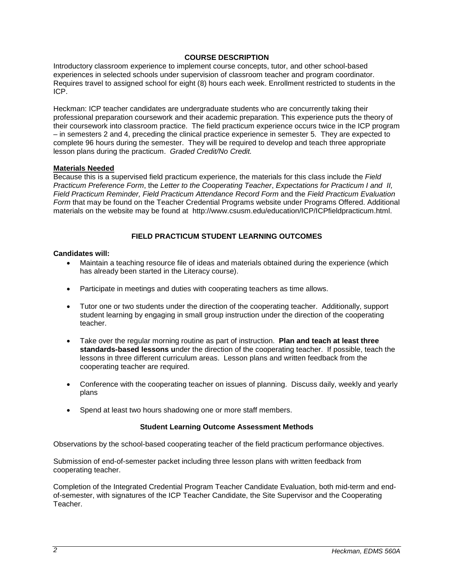## **COURSE DESCRIPTION**

Introductory classroom experience to implement course concepts, tutor, and other school-based experiences in selected schools under supervision of classroom teacher and program coordinator. Requires travel to assigned school for eight (8) hours each week. Enrollment restricted to students in the ICP.

Heckman: ICP teacher candidates are undergraduate students who are concurrently taking their professional preparation coursework and their academic preparation. This experience puts the theory of their coursework into classroom practice. The field practicum experience occurs twice in the ICP program – in semesters 2 and 4, preceding the clinical practice experience in semester 5. They are expected to complete 96 hours during the semester. They will be required to develop and teach three appropriate lesson plans during the practicum. *Graded Credit/No Credit.* 

## **Materials Needed**

Because this is a supervised field practicum experience, the materials for this class include the *Field Practicum Preference Form*, the *Letter to the Cooperating Teacher*, *Expectations for Practicum I and II, Field Practicum Reminder, Field Practicum Attendance Record Form* and the *Field Practicum Evaluation Form* that may be found on the Teacher Credential Programs website under Programs Offered. Additional materials on the website may be found at http://www.csusm.edu/education/ICP/ICPfieldpracticum.html.

## **FIELD PRACTICUM STUDENT LEARNING OUTCOMES**

## **Candidates will:**

- Maintain a teaching resource file of ideas and materials obtained during the experience (which has already been started in the Literacy course).
- Participate in meetings and duties with cooperating teachers as time allows.
- Tutor one or two students under the direction of the cooperating teacher. Additionally, support student learning by engaging in small group instruction under the direction of the cooperating teacher.
- Take over the regular morning routine as part of instruction. **Plan and teach at least three standards-based lessons u**nder the direction of the cooperating teacher. If possible, teach the lessons in three different curriculum areas. Lesson plans and written feedback from the cooperating teacher are required.
- Conference with the cooperating teacher on issues of planning. Discuss daily, weekly and yearly plans
- Spend at least two hours shadowing one or more staff members.

### **Student Learning Outcome Assessment Methods**

Observations by the school-based cooperating teacher of the field practicum performance objectives.

Submission of end-of-semester packet including three lesson plans with written feedback from cooperating teacher.

Completion of the Integrated Credential Program Teacher Candidate Evaluation, both mid-term and endof-semester, with signatures of the ICP Teacher Candidate, the Site Supervisor and the Cooperating Teacher.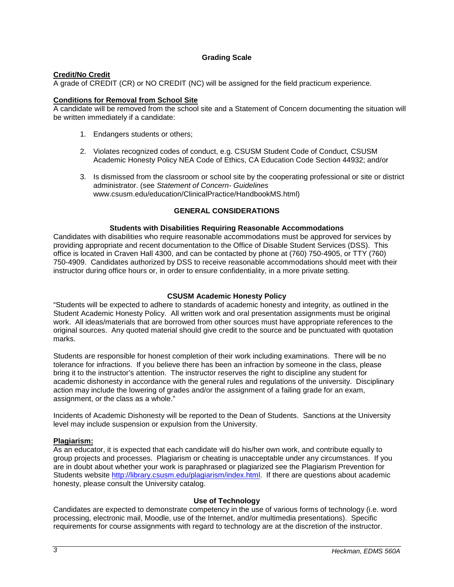## **Grading Scale**

## **Credit/No Credit**

A grade of CREDIT (CR) or NO CREDIT (NC) will be assigned for the field practicum experience.

# **Conditions for Removal from School Site**

A candidate will be removed from the school site and a Statement of Concern documenting the situation will be written immediately if a candidate:

- 1. Endangers students or others;
- 2. Violates recognized codes of conduct, e.g. CSUSM Student Code of Conduct, CSUSM Academic Honesty Policy NEA Code of Ethics, CA Education Code Section 44932; and/or
- 3. Is dismissed from the classroom or school site by the cooperating professional or site or district administrator. (see *Statement of Concern- Guidelines* www.csusm.edu/education/ClinicalPractice/HandbookMS.html)

## **GENERAL CONSIDERATIONS**

## **Students with Disabilities Requiring Reasonable Accommodations**

Candidates with disabilities who require reasonable accommodations must be approved for services by providing appropriate and recent documentation to the Office of Disable Student Services (DSS). This office is located in Craven Hall 4300, and can be contacted by phone at (760) 750-4905, or TTY (760) 750-4909. Candidates authorized by DSS to receive reasonable accommodations should meet with their instructor during office hours or, in order to ensure confidentiality, in a more private setting.

## **CSUSM Academic Honesty Policy**

"Students will be expected to adhere to standards of academic honesty and integrity, as outlined in the Student Academic Honesty Policy. All written work and oral presentation assignments must be original work. All ideas/materials that are borrowed from other sources must have appropriate references to the original sources. Any quoted material should give credit to the source and be punctuated with quotation marks.

Students are responsible for honest completion of their work including examinations. There will be no tolerance for infractions. If you believe there has been an infraction by someone in the class, please bring it to the instructor's attention. The instructor reserves the right to discipline any student for academic dishonesty in accordance with the general rules and regulations of the university. Disciplinary action may include the lowering of grades and/or the assignment of a failing grade for an exam, assignment, or the class as a whole."

Incidents of Academic Dishonesty will be reported to the Dean of Students. Sanctions at the University level may include suspension or expulsion from the University.

### **Plagiarism:**

As an educator, it is expected that each candidate will do his/her own work, and contribute equally to group projects and processes. Plagiarism or cheating is unacceptable under any circumstances. If you are in doubt about whether your work is paraphrased or plagiarized see the Plagiarism Prevention for Students website [http://library.csusm.edu/plagiarism/index.html.](http://library.csusm.edu/plagiarism/index.html) If there are questions about academic honesty, please consult the University catalog.

### **Use of Technology**

Candidates are expected to demonstrate competency in the use of various forms of technology (i.e. word processing, electronic mail, Moodle, use of the Internet, and/or multimedia presentations). Specific requirements for course assignments with regard to technology are at the discretion of the instructor.